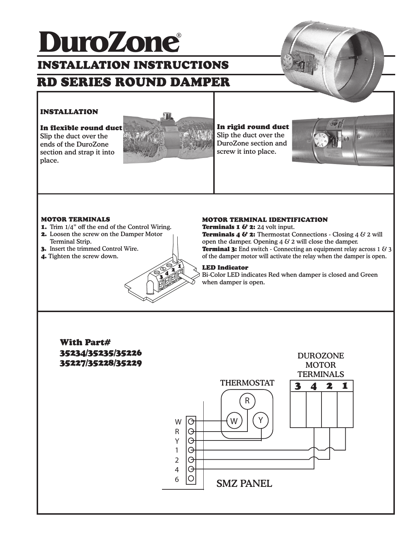# RD SERIES ROUND DAMPER ® **DuroZone** INSTALLATION INSTRUCTIONS



# INSTALLATION

In flexible round duct

Slip the duct over the ends of the DuroZone section and strap it into place.



### In rigid round duct Slip the duct over the DuroZone section and

screw it into place.



### MOTOR TERMINALS

- 1. Trim 1/4" off the end of the Control Wiring.
- 2. Loosen the screw on the Damper Motor Terminal Strip.
- 3. Insert the trimmed Control Wire.
- 4. Tighten the screw down.



#### MOTOR TERMINAL IDENTIFICATION

**Terminals 1 & 2:** 24 volt input. **Terminals 4 & 2:** Thermostat Connections - Closing 4  $\&$  2 will open the damper. Opening  $4 \& 2$  will close the damper. **Terminal 3:** End switch - Connecting an equipment relay across 1  $\&$  3 of the damper motor will activate the relay when the damper is open.

### LED Indicator

Bi-Color LED indicates Red when damper is closed and Green when damper is open.

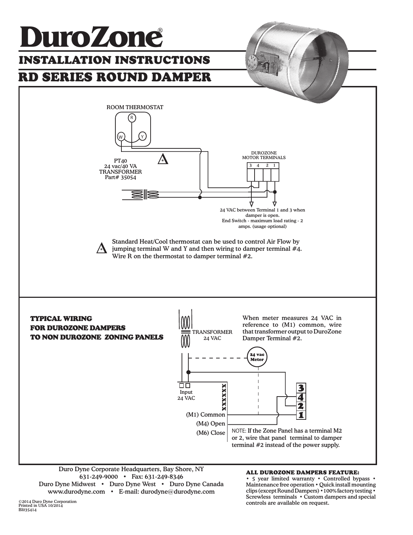

Duro Dyne Corporate Headquarters, Bay Shore, NY 631-249-9000 • Fax: 631-249-8346 Duro Dyne Midwest • Duro Dyne West • Duro Dyne Canada www.durodyne.com • E-mail: durodyne@durodyne.com

### ALL DUROZONE DAMPERS FEATURE:

• 5 year limited warranty • Controlled bypass • Maintenance free operation • Quick install mounting clips (except Round Dampers) •100% factory testing • Screwless terminals • Custom dampers and special controls are available on request.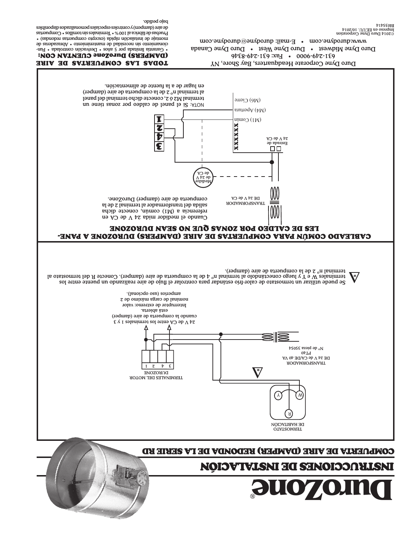

de aire (dampers) y controles especiales personalizados disponibles

. bajo pedido